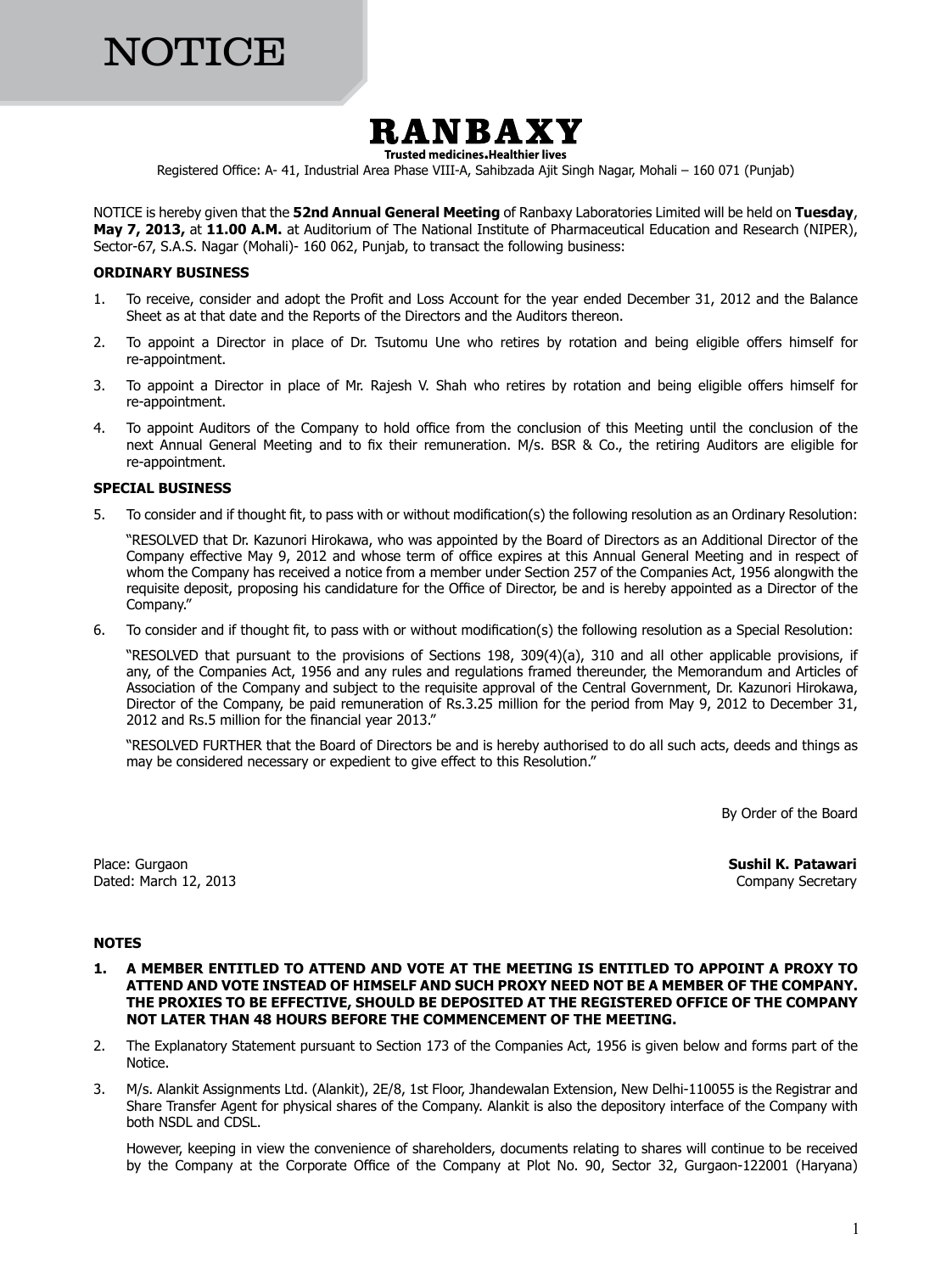# NOTICE



**Trusted medicines. Healthier lives** 

Registered Office: A- 41, Industrial Area Phase VIII-A, Sahibzada Ajit Singh Nagar, Mohali – 160 071 (Punjab)

NOTICE is hereby given that the **52nd Annual General Meeting** of Ranbaxy Laboratories Limited will be held on **Tuesday**, **May 7, 2013,** at **11.00 A.M.** at Auditorium of The National Institute of Pharmaceutical Education and Research (NIPER), Sector-67, S.A.S. Nagar (Mohali)- 160 062, Punjab, to transact the following business:

### **ORDINARY BUSINESS**

- 1. To receive, consider and adopt the Profit and Loss Account for the year ended December 31, 2012 and the Balance Sheet as at that date and the Reports of the Directors and the Auditors thereon.
- 2. To appoint a Director in place of Dr. Tsutomu Une who retires by rotation and being eligible offers himself for re-appointment.
- 3. To appoint a Director in place of Mr. Rajesh V. Shah who retires by rotation and being eligible offers himself for re-appointment.
- 4. To appoint Auditors of the Company to hold office from the conclusion of this Meeting until the conclusion of the next Annual General Meeting and to fix their remuneration. M/s. BSR & Co., the retiring Auditors are eligible for re-appointment.

### **SPECIAL BUSINESS**

5. To consider and if thought fit, to pass with or without modification(s) the following resolution as an Ordinary Resolution:

"RESOLVED that Dr. Kazunori Hirokawa, who was appointed by the Board of Directors as an Additional Director of the Company effective May 9, 2012 and whose term of office expires at this Annual General Meeting and in respect of whom the Company has received a notice from a member under Section 257 of the Companies Act, 1956 alongwith the requisite deposit, proposing his candidature for the Office of Director, be and is hereby appointed as a Director of the Company."

6. To consider and if thought fit, to pass with or without modification(s) the following resolution as a Special Resolution:

"RESOLVED that pursuant to the provisions of Sections 198, 309(4)(a), 310 and all other applicable provisions, if any, of the Companies Act, 1956 and any rules and regulations framed thereunder, the Memorandum and Articles of Association of the Company and subject to the requisite approval of the Central Government, Dr. Kazunori Hirokawa, Director of the Company, be paid remuneration of Rs.3.25 million for the period from May 9, 2012 to December 31, 2012 and Rs.5 million for the financial year 2013."

"Resolved Further that the Board of Directors be and is hereby authorised to do all such acts, deeds and things as may be considered necessary or expedient to give effect to this Resolution."

By Order of the Board

Dated: March 12, 2013 **Company Secretary** 

Place: Gurgaon **Sushil K. Patawari**

# **NOTES**

- **1. A MEMBER ENTITLED TO ATTEND AND VOTE AT THE MEETING IS ENTITLED TO APPOINT A PROXY TO ATTEND AND VOTE INSTEAD OF HIMSELF AND SUCH PROXY NEED NOT BE A MEMBER OF THE COMPANY. THE PROXIES TO BE EFFECTIVE, SHOULD BE DEPOSITED AT THE REGISTERED OFFICE OF THE COMPANY NOT LATER THAN 48 HOURS BEFORE THE COMMENCEMENT OF THE MEETING.**
- 2. The Explanatory Statement pursuant to Section 173 of the Companies Act, 1956 is given below and forms part of the Notice.
- 3. M/s. Alankit Assignments Ltd. (Alankit), 2E/8, 1st Floor, Jhandewalan Extension, New Delhi-110055 is the Registrar and Share Transfer Agent for physical shares of the Company. Alankit is also the depository interface of the Company with both NSDL and CDSL.

However, keeping in view the convenience of shareholders, documents relating to shares will continue to be received by the Company at the Corporate Office of the Company at Plot No. 90, Sector 32, Gurgaon-122001 (Haryana)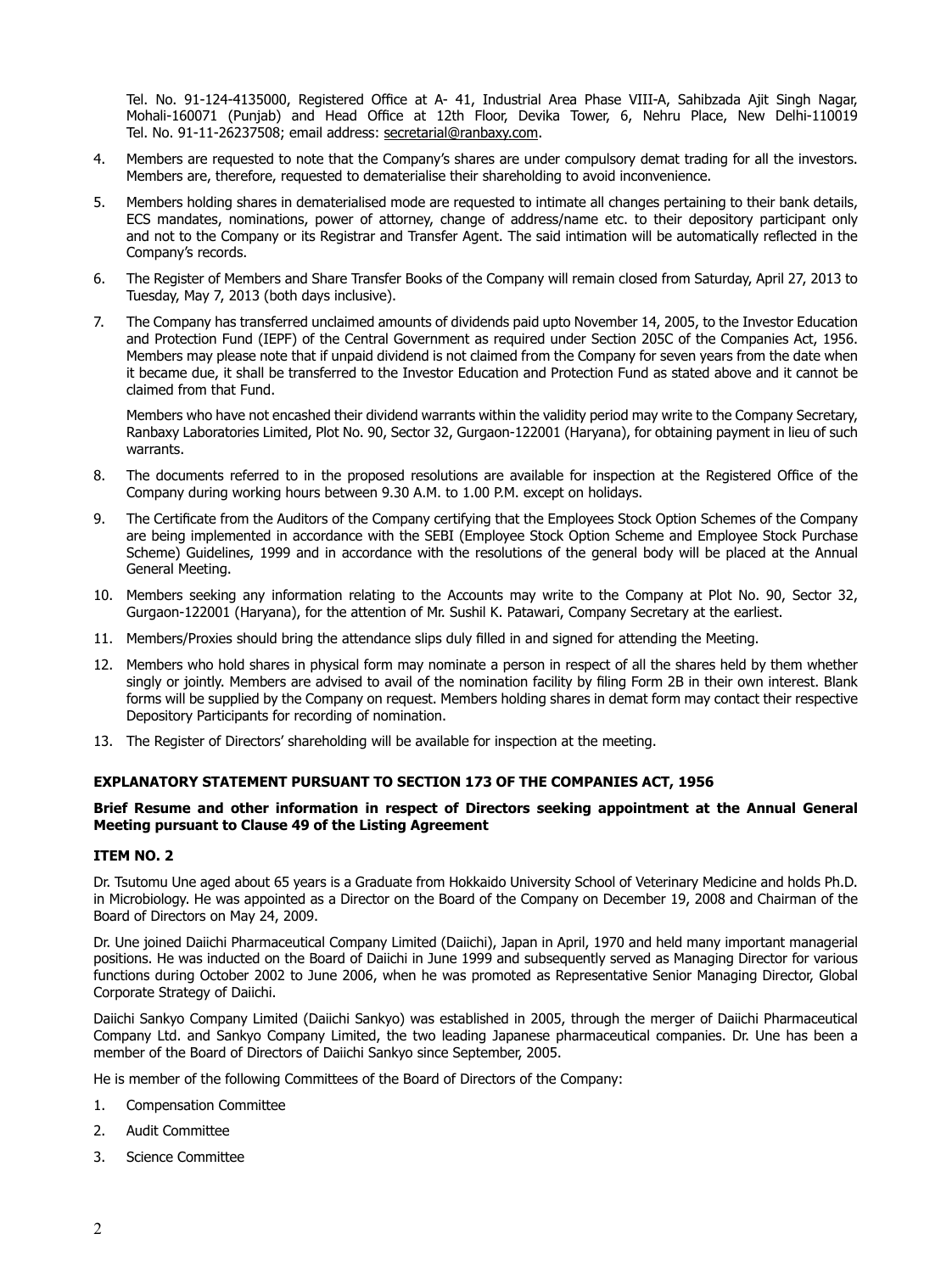Tel. No. 91-124-4135000, Registered Office at A- 41, Industrial Area Phase VIII-A, Sahibzada Ajit Singh Nagar, Mohali-160071 (Punjab) and Head Office at 12th Floor, Devika Tower, 6, Nehru Place, New Delhi-110019 Tel. No. 91-11-26237508; email address: secretarial@ranbaxy.com.

- 4. Members are requested to note that the Company's shares are under compulsory demat trading for all the investors. Members are, therefore, requested to dematerialise their shareholding to avoid inconvenience.
- 5. Members holding shares in dematerialised mode are requested to intimate all changes pertaining to their bank details, ECS mandates, nominations, power of attorney, change of address/name etc. to their depository participant only and not to the Company or its Registrar and Transfer Agent. The said intimation will be automatically reflected in the Company's records.
- 6. The Register of Members and Share Transfer Books of the Company will remain closed from Saturday, April 27, 2013 to Tuesday, May 7, 2013 (both days inclusive).
- 7. The Company has transferred unclaimed amounts of dividends paid upto November 14, 2005, to the Investor Education and Protection Fund (IEPF) of the Central Government as required under Section 205C of the Companies Act, 1956. Members may please note that if unpaid dividend is not claimed from the Company for seven years from the date when it became due, it shall be transferred to the Investor Education and Protection Fund as stated above and it cannot be claimed from that Fund.

Members who have not encashed their dividend warrants within the validity period may write to the Company Secretary, Ranbaxy Laboratories Limited, Plot No. 90, Sector 32, Gurgaon-122001 (Haryana), for obtaining payment in lieu of such warrants.

- 8. The documents referred to in the proposed resolutions are available for inspection at the Registered Office of the Company during working hours between 9.30 A.M. to 1.00 P.M. except on holidays.
- 9. The Certificate from the Auditors of the Company certifying that the Employees Stock Option Schemes of the Company are being implemented in accordance with the SEBI (Employee Stock Option Scheme and Employee Stock Purchase Scheme) Guidelines, 1999 and in accordance with the resolutions of the general body will be placed at the Annual General Meeting.
- 10. Members seeking any information relating to the Accounts may write to the Company at Plot No. 90, Sector 32, Gurgaon-122001 (Haryana), for the attention of Mr. Sushil K. Patawari, Company Secretary at the earliest.
- 11. Members/Proxies should bring the attendance slips duly filled in and signed for attending the Meeting.
- 12. Members who hold shares in physical form may nominate a person in respect of all the shares held by them whether singly or jointly. Members are advised to avail of the nomination facility by filing Form 2B in their own interest. Blank forms will be supplied by the Company on request. Members holding shares in demat form may contact their respective Depository Participants for recording of nomination.
- 13. The Register of Directors' shareholding will be available for inspection at the meeting.

# **EXPLANATORY STATEMENT PURSUANT TO SECTION 173 OF THE COMPANIES ACT, 1956**

### **Brief Resume and other information in respect of Directors seeking appointment at the Annual General Meeting pursuant to Clause 49 of the Listing Agreement**

#### **ITEM NO. 2**

Dr. Tsutomu Une aged about 65 years is a Graduate from Hokkaido University School of Veterinary Medicine and holds Ph.D. in Microbiology. He was appointed as a Director on the Board of the Company on December 19, 2008 and Chairman of the Board of Directors on May 24, 2009.

Dr. Une joined Daiichi Pharmaceutical Company Limited (Daiichi), Japan in April, 1970 and held many important managerial positions. He was inducted on the Board of Daiichi in June 1999 and subsequently served as Managing Director for various functions during October 2002 to June 2006, when he was promoted as Representative Senior Managing Director, Global Corporate Strategy of Daiichi.

Daiichi Sankyo Company Limited (Daiichi Sankyo) was established in 2005, through the merger of Daiichi Pharmaceutical Company Ltd. and Sankyo Company Limited, the two leading Japanese pharmaceutical companies. Dr. Une has been a member of the Board of Directors of Daiichi Sankyo since September, 2005.

He is member of the following Committees of the Board of Directors of the Company:

- 1. Compensation Committee
- 2. Audit Committee
- 3. Science Committee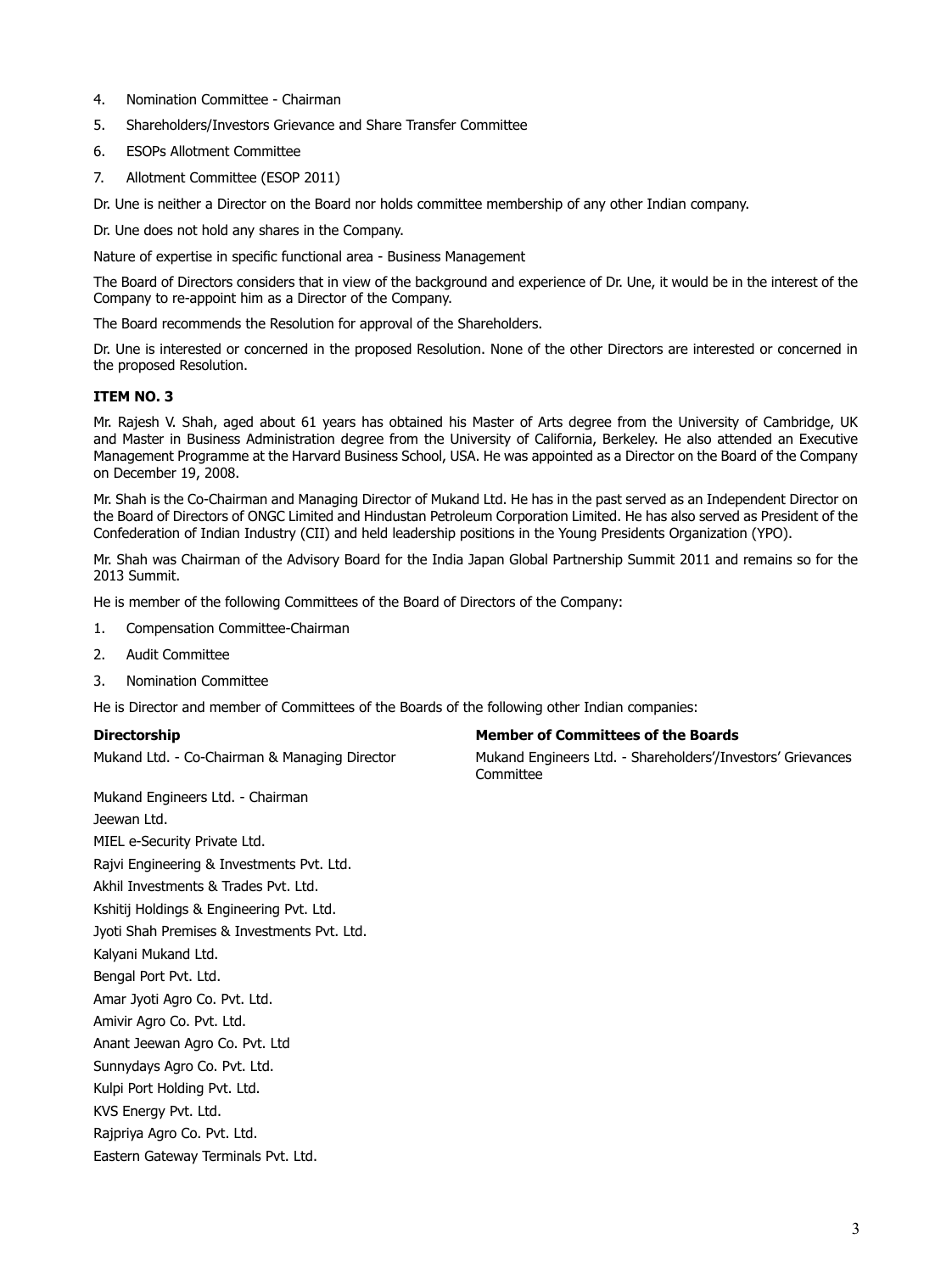- 4. Nomination Committee Chairman
- 5. Shareholders/Investors Grievance and Share Transfer Committee
- 6. ESOPs Allotment Committee
- 7. Allotment Committee (ESOP 2011)
- Dr. Une is neither a Director on the Board nor holds committee membership of any other Indian company.

Dr. Une does not hold any shares in the Company.

Nature of expertise in specific functional area - Business Management

The Board of Directors considers that in view of the background and experience of Dr. Une, it would be in the interest of the Company to re-appoint him as a Director of the Company.

The Board recommends the Resolution for approval of the Shareholders.

Dr. Une is interested or concerned in the proposed Resolution. None of the other Directors are interested or concerned in the proposed Resolution.

# **ITEM NO. 3**

Mr. Rajesh V. Shah, aged about 61 years has obtained his Master of Arts degree from the University of Cambridge, UK and Master in Business Administration degree from the University of California, Berkeley. He also attended an Executive Management Programme at the Harvard Business School, USA. He was appointed as a Director on the Board of the Company on December 19, 2008.

Mr. Shah is the Co-Chairman and Managing Director of Mukand Ltd. He has in the past served as an Independent Director on the Board of Directors of ONGC Limited and Hindustan Petroleum Corporation Limited. He has also served as President of the Confederation of Indian Industry (CII) and held leadership positions in the Young Presidents Organization (YPO).

Mr. Shah was Chairman of the Advisory Board for the India Japan Global Partnership Summit 2011 and remains so for the 2013 Summit.

He is member of the following Committees of the Board of Directors of the Company:

- 1. Compensation Committee-Chairman
- 2. Audit Committee
- 3. Nomination Committee

He is Director and member of Committees of the Boards of the following other Indian companies:

Mukand Engineers Ltd. - Chairman Jeewan Ltd. MIEL e-Security Private Ltd. Rajvi Engineering & Investments Pvt. Ltd. Akhil Investments & Trades Pvt. Ltd. Kshitij Holdings & Engineering Pvt. Ltd. Jyoti Shah Premises & Investments Pvt. Ltd. Kalyani Mukand Ltd. Bengal Port Pvt. Ltd. Amar Jyoti Agro Co. Pvt. Ltd. Amivir Agro Co. Pvt. Ltd. Anant Jeewan Agro Co. Pvt. Ltd Sunnydays Agro Co. Pvt. Ltd. Kulpi Port Holding Pvt. Ltd. KVS Energy Pvt. Ltd. Rajpriya Agro Co. Pvt. Ltd.

# Eastern Gateway Terminals Pvt. Ltd.

**Directorship Member of Committees of the Boards**

Mukand Ltd. - Co-Chairman & Managing Director Mukand Engineers Ltd. - Shareholders'/Investors' Grievances Committee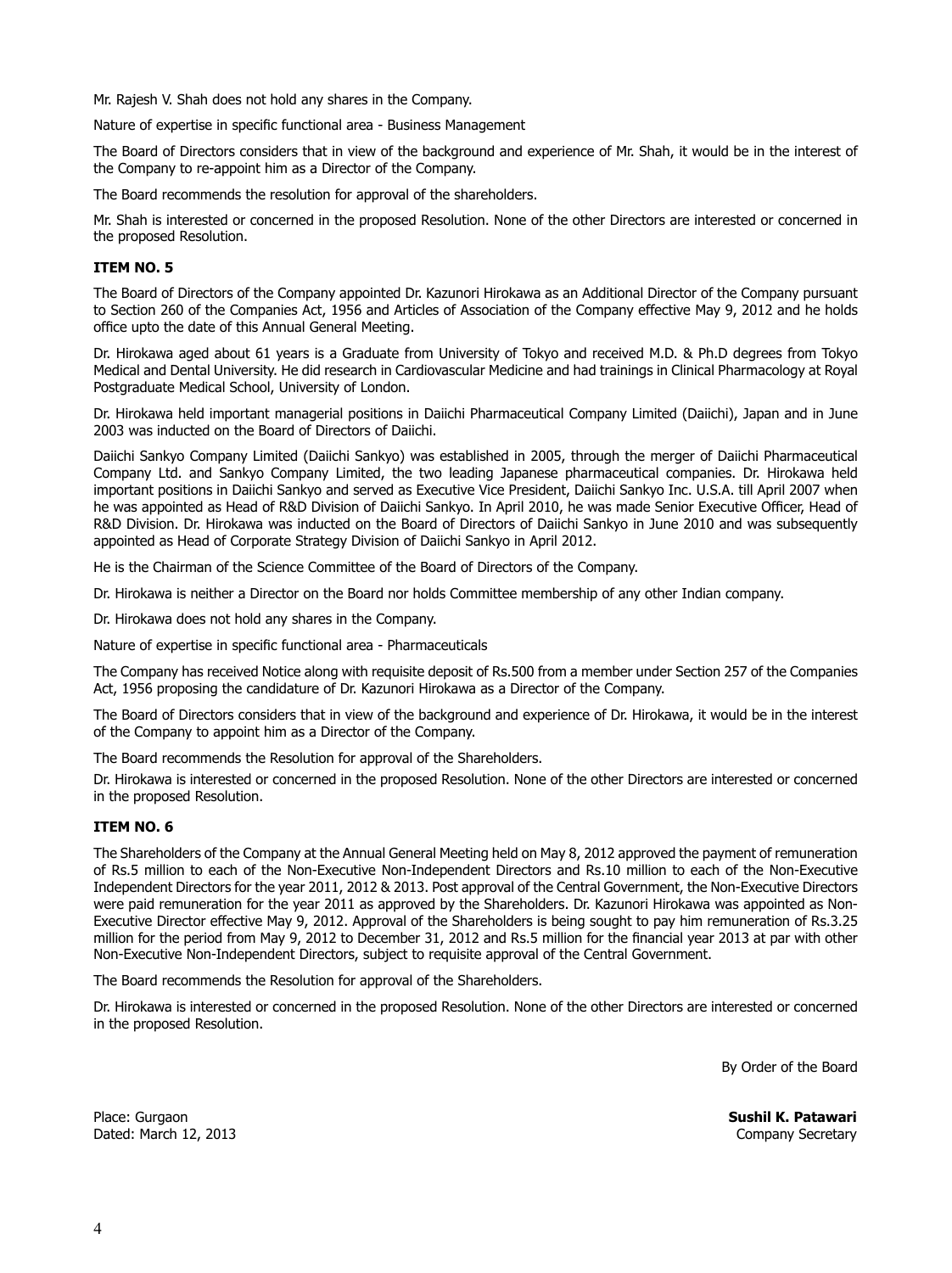Mr. Rajesh V. Shah does not hold any shares in the Company.

Nature of expertise in specific functional area - Business Management

The Board of Directors considers that in view of the background and experience of Mr. Shah, it would be in the interest of the Company to re-appoint him as a Director of the Company.

The Board recommends the resolution for approval of the shareholders.

Mr. Shah is interested or concerned in the proposed Resolution. None of the other Directors are interested or concerned in the proposed Resolution.

# **ITEM NO. 5**

The Board of Directors of the Company appointed Dr. Kazunori Hirokawa as an Additional Director of the Company pursuant to Section 260 of the Companies Act, 1956 and Articles of Association of the Company effective May 9, 2012 and he holds office upto the date of this Annual General Meeting.

Dr. Hirokawa aged about 61 years is a Graduate from University of Tokyo and received M.D. & Ph.D degrees from Tokyo Medical and Dental University. He did research in Cardiovascular Medicine and had trainings in Clinical Pharmacology at Royal Postgraduate Medical School, University of London.

Dr. Hirokawa held important managerial positions in Daiichi Pharmaceutical Company Limited (Daiichi), Japan and in June 2003 was inducted on the Board of Directors of Daiichi.

Daiichi Sankyo Company Limited (Daiichi Sankyo) was established in 2005, through the merger of Daiichi Pharmaceutical Company Ltd. and Sankyo Company Limited, the two leading Japanese pharmaceutical companies. Dr. Hirokawa held important positions in Daiichi Sankyo and served as Executive Vice President, Daiichi Sankyo Inc. U.S.A. till April 2007 when he was appointed as Head of R&D Division of Daiichi Sankyo. In April 2010, he was made Senior Executive Officer, Head of R&D Division. Dr. Hirokawa was inducted on the Board of Directors of Daiichi Sankyo in June 2010 and was subsequently appointed as Head of Corporate Strategy Division of Daiichi Sankyo in April 2012.

He is the Chairman of the Science Committee of the Board of Directors of the Company.

Dr. Hirokawa is neither a Director on the Board nor holds Committee membership of any other Indian company.

Dr. Hirokawa does not hold any shares in the Company.

Nature of expertise in specific functional area - Pharmaceuticals

The Company has received Notice along with requisite deposit of Rs.500 from a member under Section 257 of the Companies Act, 1956 proposing the candidature of Dr. Kazunori Hirokawa as a Director of the Company.

The Board of Directors considers that in view of the background and experience of Dr. Hirokawa, it would be in the interest of the Company to appoint him as a Director of the Company.

The Board recommends the Resolution for approval of the Shareholders.

Dr. Hirokawa is interested or concerned in the proposed Resolution. None of the other Directors are interested or concerned in the proposed Resolution.

# **ITEM NO. 6**

The Shareholders of the Company at the Annual General Meeting held on May 8, 2012 approved the payment of remuneration of Rs.5 million to each of the Non-Executive Non-Independent Directors and Rs.10 million to each of the Non-Executive Independent Directors for the year 2011, 2012 & 2013. Post approval of the Central Government, the Non-Executive Directors were paid remuneration for the year 2011 as approved by the Shareholders. Dr. Kazunori Hirokawa was appointed as Non-Executive Director effective May 9, 2012. Approval of the Shareholders is being sought to pay him remuneration of Rs.3.25 million for the period from May 9, 2012 to December 31, 2012 and Rs.5 million for the financial year 2013 at par with other Non-Executive Non-Independent Directors, subject to requisite approval of the Central Government.

The Board recommends the Resolution for approval of the Shareholders.

Dr. Hirokawa is interested or concerned in the proposed Resolution. None of the other Directors are interested or concerned in the proposed Resolution.

By Order of the Board

Place: Gurgaon **Sushil K. Patawari** Dated: March 12, 2013 Company Secretary